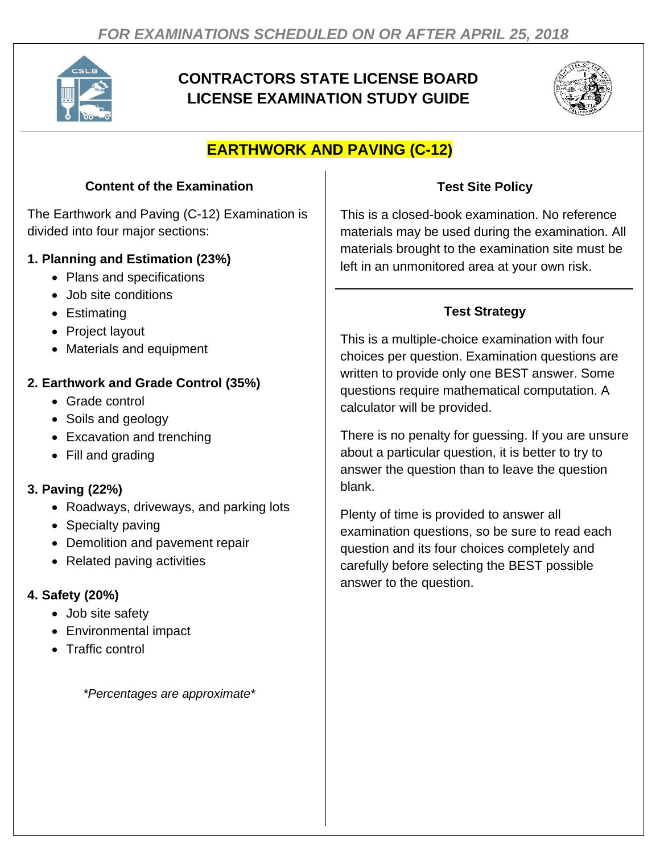

# **CONTRACTORS STATE LICENSE BOARD LICENSE EXAMINATION STUDY GUIDE**



# **EARTHWORK AND PAVING (C-12)**

## **Content of the Examination**

The Earthwork and Paving (C-12) Examination is divided into four major sections:

#### **1. Planning and Estimation (23%)**

- Plans and specifications
- Job site conditions
- Estimating
- Project layout
- Materials and equipment

#### **2. Earthwork and Grade Control (35%)**

- Grade control
- Soils and geology
- Excavation and trenching
- Fill and grading

## **3. Paving (22%)**

- Roadways, driveways, and parking lots
- Specialty paving
- Demolition and pavement repair
- Related paving activities

## **4. Safety (20%)**

- Job site safety
- Environmental impact
- Traffic control

*\*Percentages are approximate\**

## **Test Site Policy**

This is a closed-book examination. No reference materials may be used during the examination. All materials brought to the examination site must be left in an unmonitored area at your own risk.

## **Test Strategy**

This is a multiple-choice examination with four choices per question. Examination questions are written to provide only one BEST answer. Some questions require mathematical computation. A calculator will be provided.

There is no penalty for guessing. If you are unsure about a particular question, it is better to try to answer the question than to leave the question blank.

Plenty of time is provided to answer all examination questions, so be sure to read each question and its four choices completely and carefully before selecting the BEST possible answer to the question.